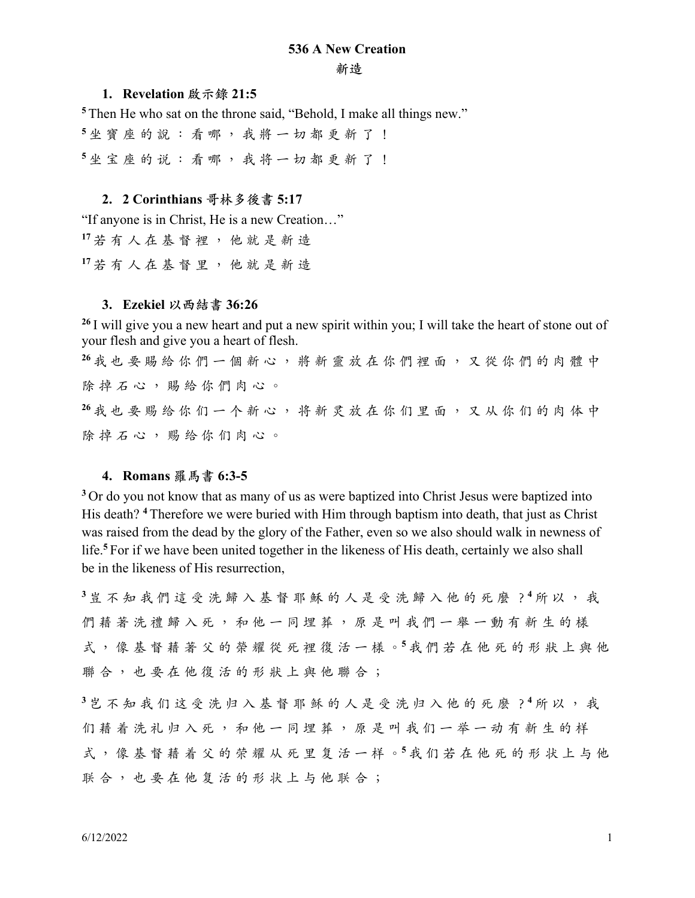# **536 A New Creation**

**新造**

### **1.** Revelation 啟示錄 21:5

**<sup>5</sup>** Then He who sat on the throne said, "Behold, I make all things new." 5 坐 寶 座 的 說 : 看 哪 , 我 將 一 切 都 更 新 了 ! 5 坐 宝 座 的 说 : 看 哪 , 我 将 一 切 都 更 新 了 !

# **2. 2 Corinthians 哥林多後書 5:17**

"If anyone is in Christ, He is a new Creation…" **<sup>17</sup>** 若 有 ⼈ 在 基 督 裡 , 他 就 是 新 造 **<sup>17</sup>** 若 有 ⼈ 在 基 督 ⾥ , 他 就 是 新 造

### **3. Ezekiel 以西結書 36:26**

**<sup>26</sup>** I will give you a new heart and put a new spirit within you; I will take the heart of stone out of your flesh and give you a heart of flesh.

26 我 也 要 賜 給 你 們 一 個 新 心 , 將 新 靈 放 在 你 們 裡 面 , 又 從 你 們 的 肉 體 中 除掉石心,赐给你們肉心。 26 我 也 要 赐 给 你 们 一 个 新 心 , 将 新 灵 放 在 你 们 里 面 , 又 从 你 们 的 肉 体 中 除掉石心,赐给你们肉心。

## **4. Romans 羅⾺書 6:3-5**

<sup>3</sup> Or do you not know that as many of us as were baptized into Christ Jesus were baptized into His death? **<sup>4</sup>** Therefore we were buried with Him through baptism into death, that just as Christ was raised from the dead by the glory of the Father, even so we also should walk in newness of life.**<sup>5</sup>** For if we have been united together in the likeness of His death, certainly we also shall be in the likeness of His resurrection,

**<sup>3</sup>** 豈 不 知 我 們 這 受 洗 歸 ⼊ 基 督 耶 穌 的 ⼈ 是 受 洗 歸 ⼊ 他 的 死 麼 ?**<sup>4</sup>** 所 以 , 我 們藉著洗禮歸入死,和他一同埋葬,原是叫我們一舉一動有新生的樣 式,像基督藉著父的榮耀從死裡復活一樣。5我們若在他死的形狀上與他 聯合,也要在他復活的形狀上與他聯合;

 $3$ 岂 不知我 们 这 受 洗 归 入 基 督 耶 稣 的 人 是 受 洗 归 入 他 的 死 麽 ?<sup>4</sup> 所 以 , 我 们藉着洗礼归入死,和他一同埋葬,原是叫我们一举一动有新生的样 式,像基督藉着父的荣耀从死里复活一样。5我们若在他死的形状上与他 联合,也要在他复活的形状上与他联合;